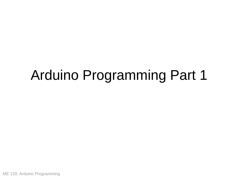# Arduino Programming Part 1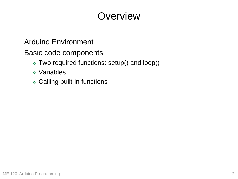## **Overview**

#### Arduino Environment

Basic code components

- ❖ Two required functions: setup() and loop()
- ❖ Variables
- ❖ Calling built-in functions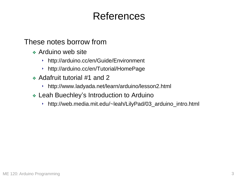## References

These notes borrow from

- ❖ Arduino web site
	- ‣ http://arduino.cc/en/Guide/Environment
	- ‣ http://arduino.cc/en/Tutorial/HomePage
- ❖ Adafruit tutorial #1 and 2
	- ‣ http://www.ladyada.net/learn/arduino/lesson2.html
- ❖ Leah Buechley's Introduction to Arduino
	- ‣ http://web.media.mit.edu/~leah/LilyPad/03\_arduino\_intro.html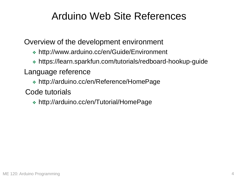## Arduino Web Site References

Overview of the development environment

- ❖ http://www.arduino.cc/en/Guide/Environment
- ❖ https://learn.sparkfun.com/tutorials/redboard-hookup-guide

### Language reference

- ❖ http://arduino.cc/en/Reference/HomePage
- Code tutorials
	- ❖ http://arduino.cc/en/Tutorial/HomePage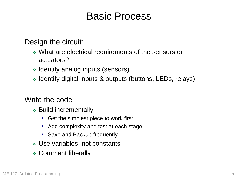### Basic Process

Design the circuit:

- ❖ What are electrical requirements of the sensors or actuators?
- ❖ Identify analog inputs (sensors)
- ❖ Identify digital inputs & outputs (buttons, LEDs, relays)

#### Write the code

- ❖ Build incrementally
	- ‣ Get the simplest piece to work first
	- ‣ Add complexity and test at each stage
	- ‣ Save and Backup frequently
- ❖ Use variables, not constants
- ❖ Comment liberally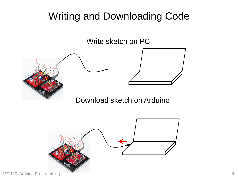## Writing and Downloading Code

Write sketch on PC



Download sketch on Arduino

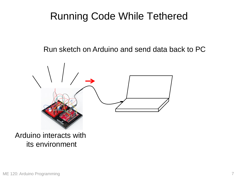## Running Code While Tethered

Run sketch on Arduino and send data back to PC

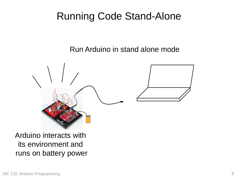## Running Code Stand-Alone

Run Arduino in stand alone mode



#### Arduino interacts with its environment and runs on battery power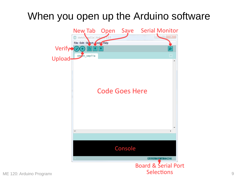## When you open up the Arduino software

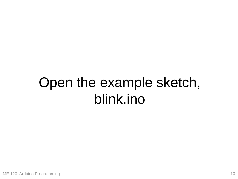# Open the example sketch, blink.ino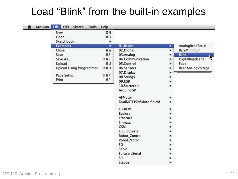## Load "Blink" from the built-in examples

| New                            | <b>第N</b>     |                        |                    |
|--------------------------------|---------------|------------------------|--------------------|
| Open                           | \$0           |                        |                    |
| Sketchbook                     |               |                        |                    |
| <b>Examples</b>                | ▶             | 01.Basics              | AnalogReadSerial   |
| Close                          | <b>HRW</b>    | 02.Digital             | <b>BareMinimum</b> |
| Save                           | <b></b>       | 03.Analog              | <b>Blink</b>       |
| Save As                        | <b>☆ 米S</b>   | 04.Communication       | DigitalReadSerial  |
| Upload                         | <b>HRU</b>    | 05.Control             | Fade               |
| <b>Upload Using Programmer</b> | <b>O 36 0</b> | 06.Sensors             | ReadAnalogVoltage  |
|                                |               | 07.Display             |                    |
| Page Setup                     | <b>G</b> 36P  | 08.Strings             |                    |
| Print                          | $_{\rm{20}}$  | 09.USB                 |                    |
|                                |               | 10.StarterKit          |                    |
|                                |               | ArduinoISP             |                    |
|                                |               | AFMotor                |                    |
|                                |               | DualMC33926MotorShield |                    |
|                                |               | <b>EEPROM</b>          |                    |
|                                |               | Esplora                |                    |
|                                |               | Ethernet               |                    |
|                                |               | Firmata                |                    |
|                                |               | <b>GSM</b>             |                    |
|                                |               | LiquidCrystal          |                    |
|                                |               | Robot_Control          |                    |
|                                |               | Robot_Motor            |                    |
|                                |               | SD                     |                    |
|                                |               | Servo                  |                    |
|                                |               | SoftwareSerial         |                    |
|                                |               | <b>SPI</b>             |                    |
|                                |               | Stepper                |                    |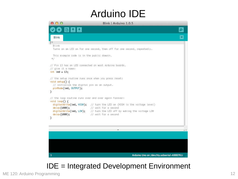## Arduino IDE



### IDE = Integrated Development Environment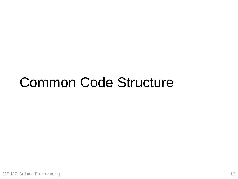## Common Code Structure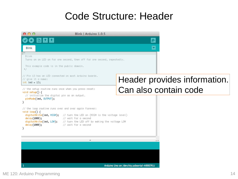### Code Structure: Header

| 000                                                                                                                                                                                                                                                                                                               | Blink   Arduino 1.0.5                                                   |                              |  |  |
|-------------------------------------------------------------------------------------------------------------------------------------------------------------------------------------------------------------------------------------------------------------------------------------------------------------------|-------------------------------------------------------------------------|------------------------------|--|--|
| <b>OO BEE</b>                                                                                                                                                                                                                                                                                                     |                                                                         | <b>p</b>                     |  |  |
| <b>Blink</b>                                                                                                                                                                                                                                                                                                      |                                                                         | ×                            |  |  |
| Blink                                                                                                                                                                                                                                                                                                             | Turns on an LED on for one second, then off for one second, repeatedly. |                              |  |  |
| This example code is in the public domain.<br>$\ast/$                                                                                                                                                                                                                                                             |                                                                         |                              |  |  |
| // Pin 13 has an LED connected on most Arduino boards.<br>// give it a name:<br>int led = $13;$                                                                                                                                                                                                                   |                                                                         | Header provides information. |  |  |
| // the setup routine runs once when you press reset:<br>void setup() $\{$<br>// initialize the digital pin as an output.<br>pinMode(led, OUTPUT);<br>}                                                                                                                                                            |                                                                         | Can also contain code        |  |  |
| // the loop routine runs over and over again forever:<br>void $loop() f$<br>digitalWrite(led, HIGH); // turn the LED on (HIGH is the voltage level)<br>// wait for a second<br>delay(1000);<br>digitalWrite(led, LOW); // turn the LED off by making the voltage LOW<br>delay(1000);<br>// wait for a second<br>} |                                                                         |                              |  |  |
|                                                                                                                                                                                                                                                                                                                   | n                                                                       |                              |  |  |
|                                                                                                                                                                                                                                                                                                                   |                                                                         |                              |  |  |
|                                                                                                                                                                                                                                                                                                                   |                                                                         |                              |  |  |
| Arduino Uno on /dev/ttv.usbserial-A9007KLi                                                                                                                                                                                                                                                                        |                                                                         |                              |  |  |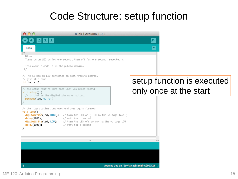## Code Structure: setup function

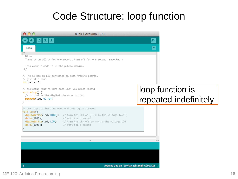## Code Structure: loop function

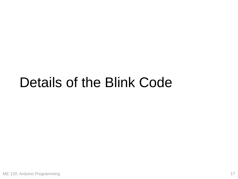## Details of the Blink Code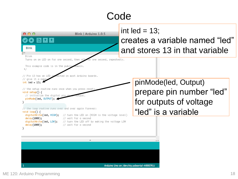## Code

| 000<br><b>Blink</b><br>Blink                                                                                                                                                                                                                                                                                                                                           | Blink   Arduino 1.0.5                                                                                                                                                                                                                                                                                          | int led = $13$ ;<br>creates a variable named "led"<br>and stores 13 in that variable              |
|------------------------------------------------------------------------------------------------------------------------------------------------------------------------------------------------------------------------------------------------------------------------------------------------------------------------------------------------------------------------|----------------------------------------------------------------------------------------------------------------------------------------------------------------------------------------------------------------------------------------------------------------------------------------------------------------|---------------------------------------------------------------------------------------------------|
| This example code is in the public<br>*/<br>// Pin 13 has an LED or<br>// give it a name:<br>int led = $13;$<br>// the setup routine runs once when you press reset<br>void setup() $\{$<br>// initialize the digital pin as<br>pinMode(1ed, OUTPUT);<br>}<br>// the loop routine runs over and over again forever:<br>void $loop() f$<br>delay(1000);<br>delay(1000); | Turns on an LED on for one second, then off for one second, repeatedly.<br>inected on most Arduino boards.<br>digitalWrite(led, HIGH); // turn the LED on (HIGH is the voltage level)<br>// wait for a second<br>digitalWrite(led, LOW); // turn the LED off by making the voltage LOW<br>// wait for a second | pinMode(led, Output)<br>prepare pin number "led"<br>for outputs of voltage<br>"led" is a variable |
|                                                                                                                                                                                                                                                                                                                                                                        | n                                                                                                                                                                                                                                                                                                              | 스포                                                                                                |
|                                                                                                                                                                                                                                                                                                                                                                        |                                                                                                                                                                                                                                                                                                                | Arduino Uno on /dev/tty.usbserial-A9007KLi                                                        |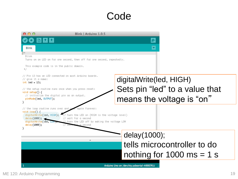### Code